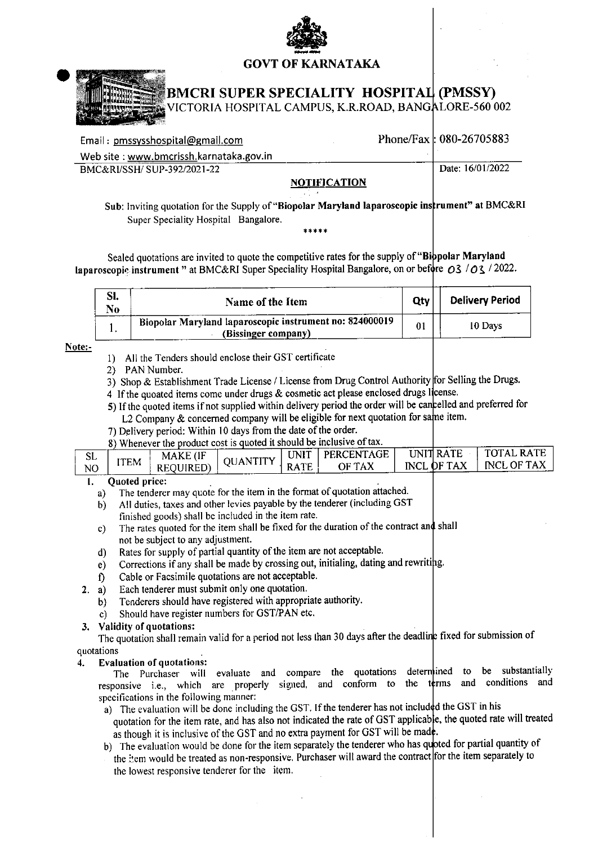## **GOVT OF KARNATAKA**



# **BMCRI SUPER SPECIALITY HOSPITAL (PMSSY)**

VICTORIA HOSPITAL CAMPUS, K.R.ROAD, BANGALORE-560 002

| Email: pmssysshospital@gmail.com        |              | Phone/Fax: $080-26705883$ |
|-----------------------------------------|--------------|---------------------------|
| Web site: www.bmcrissh.karnataka.gov.in |              |                           |
| BMC&RI/SSH/SUP-392/2021-22              |              | Date: 16/01/2022          |
|                                         | VATIMA (TIAN |                           |

### NOTIFICATION

Sub: Inviting quotation for the Supply of "Biopolar Maryland laparoscopic instrument" at BMC&RI Super Speciality Hospital Bangalore.

Sealed quotations are invited to quote the competitive rates for the supply of "Bibpolar Maryland laparoscopic instrument " at BMC&RI Super Speciality Hospital Bangalore, on or before  $O3$  / $O3$  /2022.

| SI.<br>No | Name of the Item                                                               | Qty | <b>Delivery Period</b> |
|-----------|--------------------------------------------------------------------------------|-----|------------------------|
| . .       | Biopolar Maryland laparoscopic instrument no: 824000019<br>(Bissinger company) | 01  | 10 Days                |

Note:-

- 1) All the Tenders should enclose their GST certificate
- 2) PAN Number.
- 3) Shop & Establishment Trade License / License from Drug Control Authority for Selling the Drugs.
- 4 If the quoated items come under drugs & cosmetic act please enclosed drugs license.
- 5) If the quoted items if not supplied within delivery period the order will be cancelled and preferred for L2 Company & concerned company will be eligible for next quotation for same item.
- 7) Delivery period: Within 10 days from the date of the order.
- 8) Whenever the product cost is quoted it should be inclusive of tax.

| SL             |      | MAKE (IF  | <b>QUANTITY</b> | , UNIT ' | PERCENTAGE    | UNIT RATE  | <b>TOTAL RATE</b> |
|----------------|------|-----------|-----------------|----------|---------------|------------|-------------------|
| N <sub>O</sub> | ITEM | REQUIRED) |                 |          | RATE   OF TAX | NCL OF TAX | I INCL OF TAX     |

#### Quoted price: 1.

- The tenderer may quote for the item in the format of quotation attached.  $a)$
- All duties, taxes and other levies payable by the tenderer (including GST  $b)$ finished goods) shall be included in the item rate.
- The rates quoted for the item shall be fixed for the duration of the contract and shall  $c)$ not be subject to any adjustment.
- Rates for supply of partial quantity of the item are not acceptable.  $\mathbf{d}$
- Corrections if any shall be made by crossing out, initialing, dating and rewriting.  $e)$
- Cable or Facsimile quotations are not acceptable.  $\mathbf{f}$
- Each tenderer must submit only one quotation.  $2. a)$ 
	- Tenderers should have registered with appropriate authority. b)
	- Should have register numbers for GST/PAN etc.  $\mathbf{c}$

### 3. Validity of quotations:

The quotation shall remain valid for a period not less than 30 days after the deadline fixed for submission of quotations

#### $\overline{4}$ . **Evaluation of quotations:**

The Purchaser will evaluate and compare the quotations determined to substantially be responsive i.e., which are properly signed, and conform to and conditions and the terms specifications in the following manner:

- a) The evaluation will be done including the GST. If the tenderer has not included the GST in his quotation for the item rate, and has also not indicated the rate of GST applicable, the quoted rate will treated as though it is inclusive of the GST and no extra payment for GST will be made.
- b) The evaluation would be done for the item separately the tenderer who has quoted for partial quantity of the item would be treated as non-responsive. Purchaser will award the contract for the item separately to the lowest responsive tenderer for the item.